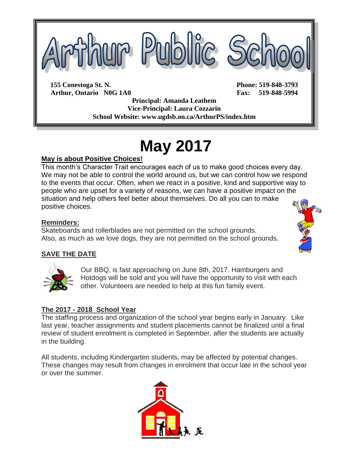

**Arthur, Ontario N0G 1A0 Fax: 519-848-5994 Principal: Amanda Leathem Vice-Principal: Laura Cozzarin School Website: www.ugdsb.on.ca/ArthurPS/index.htm**

# **May 2017**

### **May is about Positive Choices!**

This month's Character Trait encourages each of us to make good choices every day. We may not be able to control the world around us, but we can control how we respond to the events that occur. Often, when we react in a positive, kind and supportive way to people who are upset for a variety of reasons, we can have a positive impact on the situation and help others feel better about themselves. Do all you can to make positive choices.

#### **Reminders:**

Skateboards and rollerblades are not permitted on the school grounds. Also, as much as we love dogs, they are not permitted on the school grounds.

#### **SAVE THE DATE**



Our BBQ, is fast approaching on June 8th, 2017. Hamburgers and Hotdogs will be sold and you will have the opportunity to visit with each other. Volunteers are needed to help at this fun family event.

#### **The 2017 - 2018 School Year**

The staffing process and organization of the school year begins early in January. Like last year, teacher assignments and student placements cannot be finalized until a final review of student enrolment is completed in September, after the students are actually in the building.

All students, including Kindergarten students, may be affected by potential changes. These changes may result from changes in enrolment that occur late in the school year or over the summer.



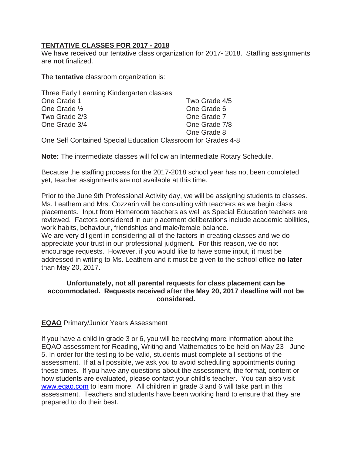#### **TENTATIVE CLASSES FOR 2017 - 2018**

We have received our tentative class organization for 2017- 2018. Staffing assignments are **not** finalized.

The **tentative** classroom organization is:

| Three Early Learning Kindergarten classes                                                                                                                                                                                                                                                                         |               |
|-------------------------------------------------------------------------------------------------------------------------------------------------------------------------------------------------------------------------------------------------------------------------------------------------------------------|---------------|
| One Grade 1                                                                                                                                                                                                                                                                                                       | Two Grade 4/5 |
| One Grade 1/2                                                                                                                                                                                                                                                                                                     | One Grade 6   |
| Two Grade 2/3                                                                                                                                                                                                                                                                                                     | One Grade 7   |
| One Grade 3/4                                                                                                                                                                                                                                                                                                     | One Grade 7/8 |
|                                                                                                                                                                                                                                                                                                                   | One Grade 8   |
| $\bigcap_{i=1}^n$ $\bigcap_{i=1}^n$ $\bigcap_{i=1}^n$ $\bigcap_{i=1}^n$ $\bigcap_{i=1}^n$ $\bigcap_{i=1}^n$ $\bigcap_{i=1}^n$ $\bigcap_{i=1}^n$ $\bigcap_{i=1}^n$ $\bigcap_{i=1}^n$ $\bigcap_{i=1}^n$ $\bigcap_{i=1}^n$ $\bigcap_{i=1}^n$ $\bigcap_{i=1}^n$ $\bigcap_{i=1}^n$ $\bigcap_{i=1}^n$ $\bigcap_{i=1}^n$ |               |

One Self Contained Special Education Classroom for Grades 4-8

**Note:** The intermediate classes will follow an Intermediate Rotary Schedule.

Because the staffing process for the 2017-2018 school year has not been completed yet, teacher assignments are not available at this time.

Prior to the June 9th Professional Activity day, we will be assigning students to classes. Ms. Leathem and Mrs. Cozzarin will be consulting with teachers as we begin class placements. Input from Homeroom teachers as well as Special Education teachers are reviewed. Factors considered in our placement deliberations include academic abilities, work habits, behaviour, friendships and male/female balance. We are very diligent in considering all of the factors in creating classes and we do

appreciate your trust in our professional judgment. For this reason, we do not encourage requests. However, if you would like to have some input, it must be addressed in writing to Ms. Leathem and it must be given to the school office **no later** than May 20, 2017.

#### **Unfortunately, not all parental requests for class placement can be accommodated. Requests received after the May 20, 2017 deadline will not be considered.**

#### **EQAO** Primary/Junior Years Assessment

If you have a child in grade 3 or 6, you will be receiving more information about the EQAO assessment for Reading, Writing and Mathematics to be held on May 23 - June 5. In order for the testing to be valid, students must complete all sections of the assessment. If at all possible, we ask you to avoid scheduling appointments during these times. If you have any questions about the assessment, the format, content or how students are evaluated, please contact your child's teacher. You can also visit [www.eqao.com](http://www.eqao.com/) to learn more. All children in grade 3 and 6 will take part in this assessment. Teachers and students have been working hard to ensure that they are prepared to do their best.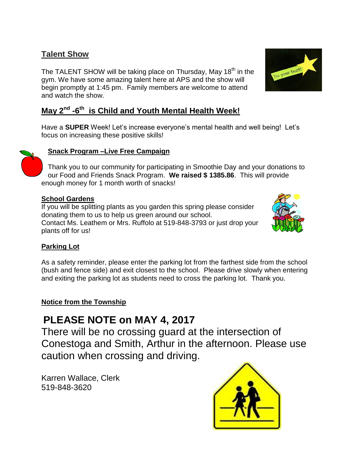# **Talent Show**

The TALENT SHOW will be taking place on Thursday, May 18<sup>th</sup> in the gym. We have some amazing talent here at APS and the show will begin promptly at 1:45 pm. Family members are welcome to attend and watch the show.

# **May 2nd -6 th is Child and Youth Mental Health Week!**

Have a **SUPER** Week! Let's increase everyone's mental health and well being! Let's focus on increasing these positive skills!



### **Snack Program –Live Free Campaign**

Thank you to our community for participating in Smoothie Day and your donations to our Food and Friends Snack Program. **We raised \$ 1385.86**. This will provide enough money for 1 month worth of snacks!

#### **School Gardens**

If you will be splitting plants as you garden this spring please consider donating them to us to help us green around our school. Contact Ms. Leathem or Mrs. Ruffolo at 519-848-3793 or just drop your plants off for us!



#### **Parking Lot**

As a safety reminder, please enter the parking lot from the farthest side from the school (bush and fence side) and exit closest to the school. Please drive slowly when entering and exiting the parking lot as students need to cross the parking lot. Thank you.

#### **Notice from the Township**

# **PLEASE NOTE on MAY 4, 2017**

There will be no crossing guard at the intersection of Conestoga and Smith, Arthur in the afternoon. Please use caution when crossing and driving.

Karren Wallace, Clerk 519-848-3620



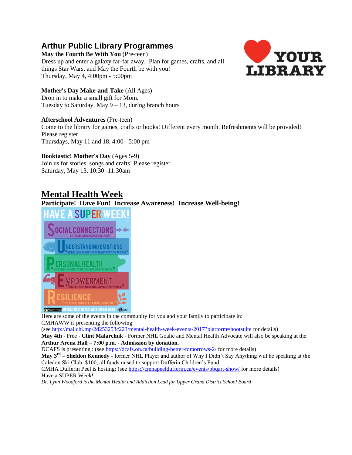# **Arthur Public Library Programmes**

**May the Fourth Be With You** (Pre-teen) Dress up and enter a galaxy far-far away. Plan for games, crafts, and all things Star Wars, and May the Fourth be with you! Thursday, May 4, 4:00pm - 5:00pm



#### **Mother's Day Make-and-Take** (All Ages)

Drop in to make a small gift for Mom. Tuesday to Saturday, May  $9 - 13$ , during branch hours

#### **Afterschool Adventures** (Pre-teen)

Come to the library for games, crafts or books! Different every month. Refreshments will be provided! Please register. Thursdays, May 11 and 18, 4:00 - 5:00 pm

#### **Booktastic! Mother's Day** (Ages 5-9)

Join us for stories, songs and crafts! Please register. Saturday, May 13, 10:30 -11:30am

## **Mental Health Week**

#### **Participate! Have Fun! Increase Awareness! Increase Well-being!**



Here are some of the events in the community for you and your family to participate in: CMHAWW is presenting the following:

(se[e http://mailchi.mp/2d253253c223/mental-health-week-events-2017?platform=hootsuite](http://mailchi.mp/2d253253c223/mental-health-week-events-2017?platform=hootsuite) for details)

**May 4th** - Free - **Clint Malarchuk** - Former NHL Goalie and Mental Health Advocate will also be speaking at the **Arthur Arena Hall – 7:00 p.m. - Admission by donation.**

DCAFS is presenting : (see <https://dcafs.on.ca/building-better-tomorrows-2/> for more details)

**May 3rd – Sheldon Kennedy -** former NHL Player and author of Why I Didn't Say Anything will be speaking at the Caledon Ski Club. \$100, all funds raised to support Dufferin Children's Fund.

CMHA Dufferin Peel is hosting: (see <https://cmhapeeldufferin.ca/events/bbqart-show/> for more details) Have a SUPER Week!

*Dr. Lynn Woodford is the Mental Health and Addiction Lead for Upper Grand District School Board*